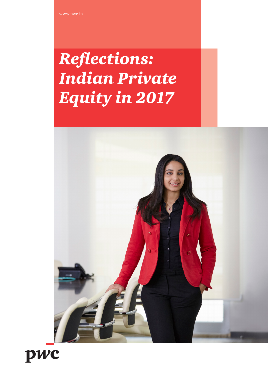## *Reflections: Indian Private Equity in 2017*



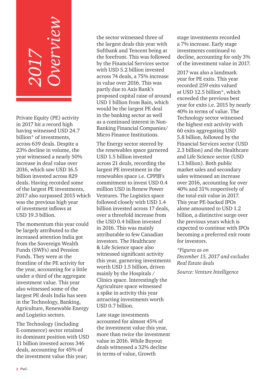# *2017 Overview*

Private Equity (PE) activity in 2017 hit a record high having witnessed USD 24.7 billion\* of investments, across 639 deals. Despite a 23% decline in volume, the year witnessed a nearly 50% increase in deal value over 2016, which saw USD 16.5 billion invested across 829 deals. Having recorded some of the largest PE investments, 2017 also surpassed 2015 which was the previous high year of investment inflows at USD 19.3 billion.

The momentum this year could be largely attributed to the increased attention India got from the Sovereign Wealth Funds (SWFs) and Pension Funds. They were at the frontline of the PE activity for the year, accounting for a little under a third of the aggregate investment value. This year also witnessed some of the largest PE deals India has seen in the Technology, Banking, Agriculture, Renewable Energy and Logistics sectors.

The Technology (including E-commerce) sector retained its dominant position with USD 11 billion invested across 346 deals, accounting for 45% of the investment value this year;

the sector witnessed three of the largest deals this year with Softbank and Tencent being at the forefront. This was followed by the Financial Services sector with USD 5.2 billion invested across 74 deals, a 75% increase in value over 2016. This was partly due to Axis Bank's proposed capital raise of around USD 1 billion from Bain, which would be the largest PE deal in the banking sector as well as a continued interest in Non-Banking Financial Companies/ Micro Finance Institutions.

The Energy sector steered by the renewables space garnered USD 1.5 billion invested across 21 deals, recording the largest PE investment in the renewables space i.e. CPPIB's commitment to invest USD 0.4 million USD in Renew Power Ventures. The Logistics space followed closely with USD 1.4 billion invested across 17 deals, over a threefold increase from the USD 0.4 billion invested in 2016. This was mainly attributable to few Canadian investors. The Healthcare & Life Science space also witnessed significant activity this year, garnering investments worth USD 1.5 billion, driven mainly by the Hospitals / Clinics space. Interestingly the Agriculture space witnessed a spike in activity this year attracting investments worth USD 0.7 billion.

Late stage investments accounted for almost 45% of the investment value this year, more than twice the investment value in 2016. While Buyout deals witnessed a 32% decline in terms of value, Growth

stage investments recorded a 7% increase. Early stage investments continued to decline, accounting for only 3% of the investment value in 2017.

2017 was also a landmark year for PE exits. This year recorded 259 exits valued at USD 12.5 billion\*, which exceeded the previous best year for exits i.e. 2015 by nearly 40% in terms of value. The Technology sector witnessed the highest exit activity with 60 exits aggregating USD 5.8 billion, followed by the Financial Services sector (USD 2.3 billion) and the Healthcare and Life Science sector (USD 1.3 billion). Both public market sales and secondary sales witnessed an increase over 2016, accounting for over 40% and 31% respectively of the total exit value in 2017. This year PE-backed IPOs alone amounted to USD 1.2 billion, a distinctive surge over the previous years which is expected to continue with IPOs becoming a preferred exit route for investors.

#### *\*Figures as on*

*December 15, 2017 and excludes Real Estate deals*

*Source: Venture Intelligence*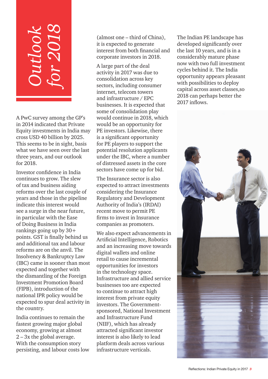## *Outlook for 2018*

A PwC survey among the GP's in 2014 indicated that Private Equity investments in India may cross USD 40 billion by 2025. This seems to be in sight, basis what we have seen over the last three years, and our outlook for 2018.

Investor confidence in India continues to grow. The slew of tax and business aiding reforms over the last couple of years and those in the pipeline indicate this interest would see a surge in the near future, in particular with the Ease of Doing Business in India rankings going up by 30+ points. GST is finally behind us and additional tax and labour reforms are on the anvil. The Insolvency & Bankruptcy Law (IBC) came in sooner than most expected and together with the dismantling of the Foreign Investment Promotion Board (FIPB), introduction of the national IPR policy would be expected to spur deal activity in the country.

India continues to remain the fastest growing major global economy, growing at almost 2 – 3x the global average. With the consumption story persisting, and labour costs low (almost one – third of China), it is expected to generate interest from both financial and corporate investors in 2018.

A large part of the deal activity in 2017 was due to consolidation across key sectors, including consumer internet, telecom towers and infrastructure / EPC businesses. It is expected that some of consolidation play would continue in 2018, which would be an opportunity for PE investors. Likewise, there is a significant opportunity for PE players to support the potential resolution applicants under the IBC, where a number of distressed assets in the core sectors have come up for bid.

The Insurance sector is also expected to attract investments considering the Insurance Regulatory and Development Authority of India's (IRDAI) recent move to permit PE firms to invest in Insurance companies as promoters.

We also expect advancements in Artificial Intelligence, Robotics and an increasing move towards digital wallets and online retail to cause incremental opportunities for investors in the technology space. Infrastructure and allied service businesses too are expected to continue to attract high interest from private equity investors. The Governmentsponsored, National Investment and Infrastructure Fund (NIIF), which has already attracted significant investor interest is also likely to lead platform deals across various infrastructure verticals.

The Indian PE landscape has developed significantly over the last 10 years, and is in a considerably mature phase now with two full investment cycles behind it. The India opportunity appears pleasant with possibilities to deploy capital across asset classes,so 2018 can perhaps better the 2017 inflows.